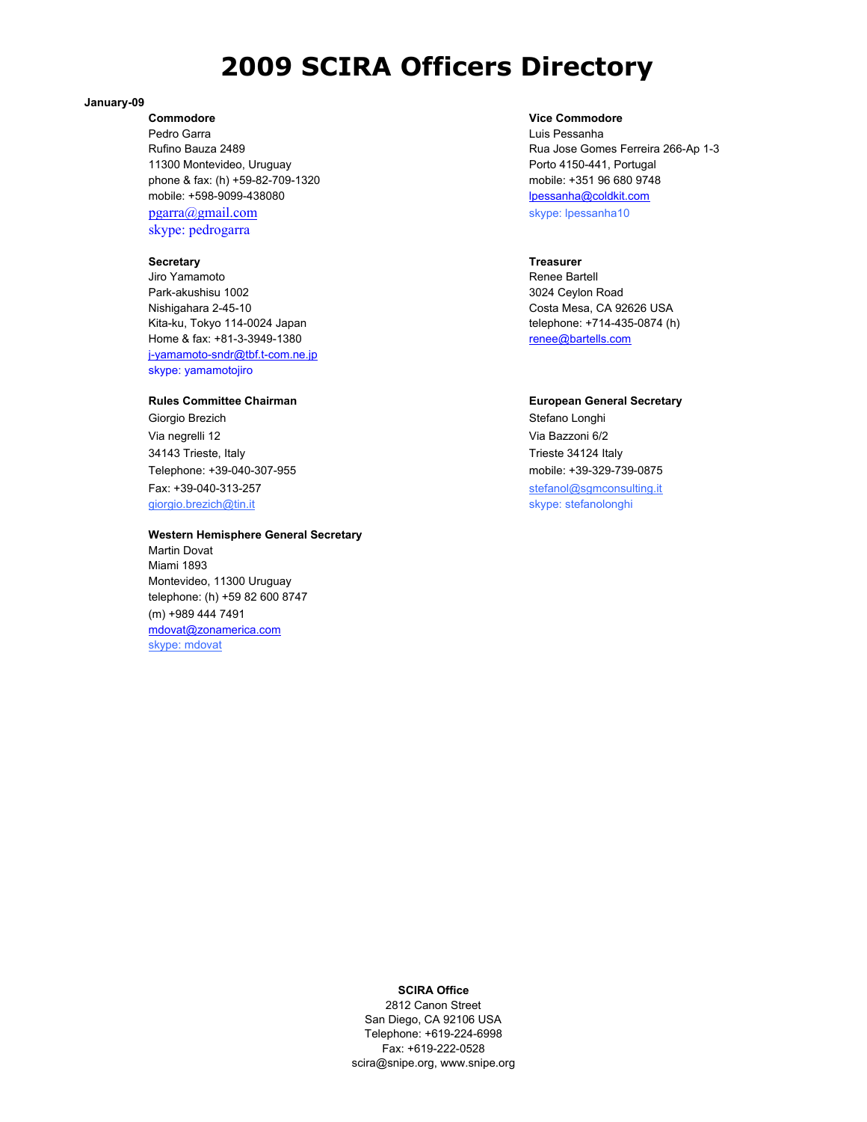# **2009 SCIRA Officers Directory**

### **January-09**

Pedro Garra **Carra Luis Pessanha** Luis Pessanha Luis Pessanha Luis Pessanha Luis Pessanha Luis Pessanha Luis Pessanha 11300 Montevideo, Uruguay **Porto 4150-441, Portugal** Porto 4150-441, Portugal phone & fax: (h) +59-82-709-1320 mobile: +351 96 680 9748 mobile: +598-9099-438080 lpessanha@coldkit.com pgarra@gmail.com skype: lpessanha10 skype: pedrogarra

### **Secretary Treasurer** Treasurer

Jiro Yamamoto Renee Bartell Park-akushisu 1002 **3024 Ceylon Road** Nishigahara 2-45-10 Costa Mesa, CA 92626 USA Kita-ku, Tokyo 114-0024 Japan telephone: +714-435-0874 (h) Home & fax: +81-3-3949-1380 renee@bartells.com j-yamamoto-sndr@tbf.t-com.ne.jp skype: yamamotojiro

Giorgio Brezich **Stefano Longhi** Via negrelli 12 Via Bazzoni 6/2 34143 Trieste, Italy Trieste 34124 Italy Telephone: +39-040-307-955 mobile: +39-329-739-0875 Fax: +39-040-313-257 stefanol@sgmconsulting.it giorgio.brezich@tin.it skype: stefanolonghi

### **Western Hemisphere General Secretary**

Martin Dovat Miami 1893 Montevideo, 11300 Uruguay telephone: (h) +59 82 600 8747 (m) +989 444 7491 mdovat@zonamerica.com skype: mdovat

## **Commodore Vice Commodore**

Rufino Bauza 2489 **Rufino Bauza 2489** Rua Jose Gomes Ferreira 266-Ap 1-3

### **Rules Committee Chairman Committee Chairman European General Secretary**

### **SCIRA Office**

2812 Canon Street San Diego, CA 92106 USA Telephone: +619-224-6998 Fax: +619-222-0528 scira@snipe.org, www.snipe.org